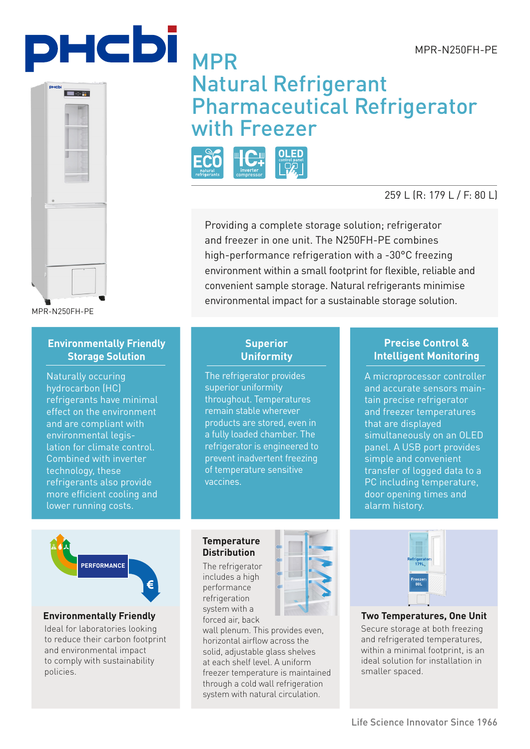





MPR-N250FH-PE

## **Environmentally Friendly Storage Solution**

Naturally occuring hydrocarbon (HC) refrigerants have minimal effect on the environment and are compliant with environmental legislation for climate control. Combined with inverter technology, these refrigerants also provide more efficient cooling and lower running costs.

# MPR Natural Refrigerant Pharmaceutical Refrigerator with Freezer



## 259 L (R: 179 L / F: 80 L)

Providing a complete storage solution; refrigerator and freezer in one unit. The N250FH-PE combines high-performance refrigeration with a -30°C freezing environment within a small footprint for flexible, reliable and convenient sample storage. Natural refrigerants minimise environmental impact for a sustainable storage solution.

### **Superior Uniformity**

The refrigerator provides superior uniformity throughout. Temperatures remain stable wherever products are stored, even in a fully loaded chamber. The refrigerator is engineered to prevent inadvertent freezing of temperature sensitive vaccines.

## **Precise Control & Intelligent Monitoring**

A microprocessor controller and accurate sensors maintain precise refrigerator and freezer temperatures that are displayed simultaneously on an OLED panel. A USB port provides simple and convenient transfer of logged data to a PC including temperature, door opening times and alarm history.

**PERFORMANCE**

### **Environmentally Friendly**

Ideal for laboratories looking to reduce their carbon footprint and environmental impact to comply with sustainability policies.

### **Temperature Distribution**

The refrigerator includes a high performance refrigeration system with a forced air, back

wall plenum. This provides even, horizontal airflow across the solid, adjustable glass shelves at each shelf level. A uniform freezer temperature is maintained through a cold wall refrigeration system with natural circulation.



**Two Temperatures, One Unit**

Secure storage at both freezing and refrigerated temperatures, within a minimal footprint, is an ideal solution for installation in smaller spaced.